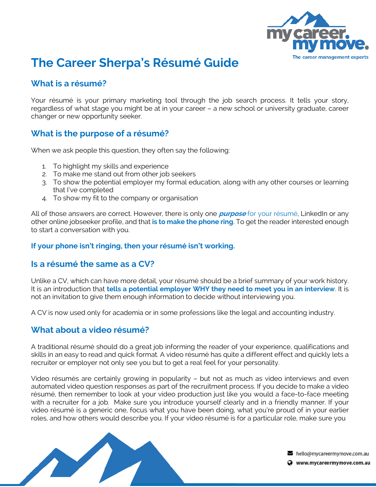

# **The Career Sherpa's Résumé Guide**

# **What is a résumé?**

Your résumé is your primary marketing tool through the job search process. It tells your story, regardless of what stage you might be at in your career – a new school or university graduate, career changer or new opportunity seeker.

### **What is the purpose of a résumé?**

When we ask people this question, they often say the following:

- 1. To highlight my skills and experience
- 2. To make me stand out from other job seekers
- 3. To show the potential employer my formal education, along with any other courses or learning that I've completed
- 4. To show my fit to the company or organisation

All of those answers are correct. However, there is only one **purpose** for your résumé, LinkedIn or any other online jobseeker profile, and that **is to make the phone ring**. To get the reader interested enough to start a conversation with you.

#### **If your phone isn't ringing, then your résumé isn't working.**

#### **Is a résumé the same as a CV?**

Unlike a CV, which can have more detail, your résumé should be a brief summary of your work history. It is an introduction that **tells a potential employer WHY they need to meet you in an interview**. It is not an invitation to give them enough information to decide without interviewing you.

A CV is now used only for academia or in some professions like the legal and accounting industry.

#### **What about a video résumé?**

A traditional résumé should do a great job informing the reader of your experience, qualifications and skills in an easy to read and quick format. A video résumé has quite a different effect and quickly lets a recruiter or employer not only see you but to get a real feel for your personality.

Video résumés are certainly growing in popularity – but not as much as video interviews and even automated video question responses as part of the recruitment process. If you decide to make a video résumé, then remember to look at your video production just like you would a face-to-face meeting with a recruiter for a job. Make sure you introduce yourself clearly and in a friendly manner. If your video résumé is a generic one, focus what you have been doing, what you're proud of in your earlier roles, and how others would describe you. If your video résumé is for a particular role, make sure you



 $\blacktriangleright$  hello@mycareermymove.com.au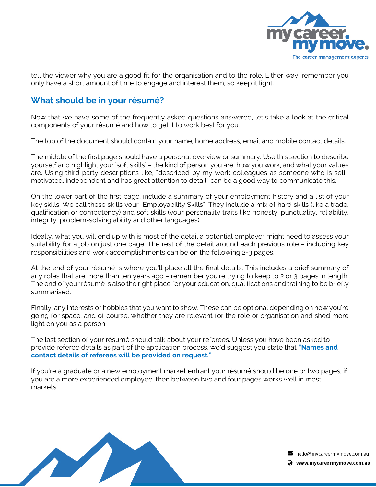

tell the viewer why you are a good fit for the organisation and to the role. Either way, remember you only have a short amount of time to engage and interest them, so keep it light.

# **What should be in your résumé?**

Now that we have some of the frequently asked questions answered, let's take a look at the critical components of your résumé and how to get it to work best for you.

The top of the document should contain your name, home address, email and mobile contact details.

The middle of the first page should have a personal overview or summary. Use this section to describe yourself and highlight your 'soft skills' – the kind of person you are, how you work, and what your values are. Using third party descriptions like, "described by my work colleagues as someone who is selfmotivated, independent and has great attention to detail" can be a good way to communicate this.

On the lower part of the first page, include a summary of your employment history and a list of your key skills. We call these skills your "Employability Skills". They include a mix of hard skills (like a trade, qualification or competency) and soft skills (your personality traits like honesty, punctuality, reliability, integrity, problem-solving ability and other languages).

Ideally, what you will end up with is most of the detail a potential employer might need to assess your suitability for a job on just one page. The rest of the detail around each previous role – including key responsibilities and work accomplishments can be on the following 2-3 pages.

At the end of your résumé is where you'll place all the final details. This includes a brief summary of any roles that are more than ten years ago – remember you're trying to keep to 2 or 3 pages in length. The end of your résumé is also the right place for your education, qualifications and training to be briefly summarised.

Finally, any interests or hobbies that you want to show. These can be optional depending on how you're going for space, and of course, whether they are relevant for the role or organisation and shed more light on you as a person.

The last section of your résumé should talk about your referees. Unless you have been asked to provide referee details as part of the application process, we'd suggest you state that **"Names and contact details of referees will be provided on request."**

If you're a graduate or a new employment market entrant your résumé should be one or two pages, if you are a more experienced employee, then between two and four pages works well in most markets.



 $\blacktriangleright$  hello@mycareermymove.com.au

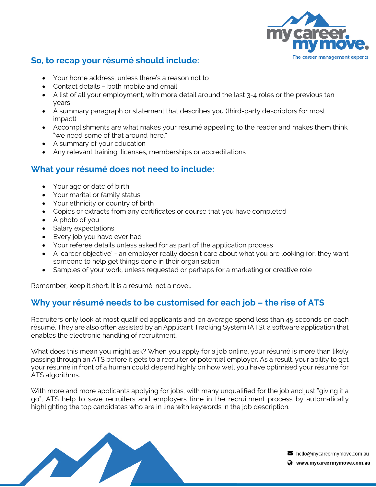

# **So, to recap your résumé should include:**

- Your home address, unless there's a reason not to
- Contact details both mobile and email
- A list of all your employment, with more detail around the last 3-4 roles or the previous ten years
- A summary paragraph or statement that describes you (third-party descriptors for most impact)
- Accomplishments are what makes your résumé appealing to the reader and makes them think "we need some of that around here."
- A summary of your education
- Any relevant training, licenses, memberships or accreditations

# **What your résumé does not need to include:**

- Your age or date of birth
- Your marital or family status
- Your ethnicity or country of birth
- Copies or extracts from any certificates or course that you have completed
- A photo of you
- Salary expectations
- Every job you have ever had
- Your referee details unless asked for as part of the application process
- A 'career objective' an employer really doesn't care about what you are looking for, they want someone to help get things done in their organisation
- Samples of your work, unless requested or perhaps for a marketing or creative role

Remember, keep it short. It is a résumé, not a novel.

# **Why your résumé needs to be customised for each job – the rise of ATS**

Recruiters only look at most qualified applicants and on average spend less than 45 seconds on each résumé. They are also often assisted by an Applicant Tracking System (ATS), a software application that enables the electronic handling of recruitment.

What does this mean you might ask? When you apply for a job online, your résumé is more than likely passing through an ATS before it gets to a recruiter or potential employer. As a result, your ability to get your résumé in front of a human could depend highly on how well you have optimised your résumé for ATS algorithms.

With more and more applicants applying for jobs, with many unqualified for the job and just "giving it a go", ATS help to save recruiters and employers time in the recruitment process by automatically highlighting the top candidates who are in line with keywords in the job description.

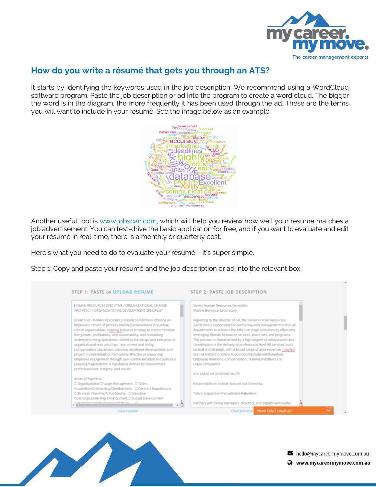

# **How do you write a résumé that gets you through an ATS?**

It starts by identifying the keywords used in the job description. We recommend using a WordCloud software program. Paste the job description or ad into the program to create a word cloud. The bigger the word is in the diagram, the more frequently it has been used through the ad. These are the terms you will want to include in your résumé. See the image below as an example.



Another useful tool is www.jobscan.com, which will help you review how well your resume matches a job advertisement. You can test-drive the basic application for free, and if you want to evaluate and edit your résumé in real-time, there is a monthly or quarterly cost.

Here's what you need to do to evaluate your résumé – it's super simple.

Step 1: Copy and paste your résumé and the job description or ad into the relevant box.

| HUMAN RESOURCES EXECUTIVE / ORGANIZATIONAL CHANGE                                                                            | Senior Human Resources Generalist                                                                                          |
|------------------------------------------------------------------------------------------------------------------------------|----------------------------------------------------------------------------------------------------------------------------|
| ARCHITECT / ORGANIZATIONAL DEVELOPMENT SPECIALIST                                                                            | Marine Biological Laboratory                                                                                               |
| STRATEGIC HUMAN RESOURCES BUSINESS PARTNER offering an                                                                       | Reporting to the Director of HR, the Senior Human Resources                                                                |
| impressive record of process-oriented achievement in building                                                                | Generalist is responsible for partnering with management across all                                                        |
| robust organizations, shaping business strategy to support bottom                                                            | departments to advance the MBL's strategic initiatives by effectively                                                      |
| line growth, profitability, and sustainability, and revitalizing                                                             | leveraging Human Resources services, processes, and programs.                                                              |
| underperforming operations. Skilled in the design and execution of                                                           | This position is characterized by a high degree of collaboration and                                                       |
| organizational restructurings, recruitment and hiring.                                                                       | coordination in the delivery of professional level HR services, both                                                       |
| compensation, succession planning, employee development, and                                                                 | tactical and strategic, with a broad range of area expertise included                                                      |
| project implementation. Particularly effective at preserving<br>employee engagement through open communication and judicious | but not limited to Talent Acquisition/Recruitment/Retention.<br>Employee Relations. Compensation. Training Initiatives and |
| planning/negotiations. A reputation defined by consummate                                                                    | Legal/Compliance.                                                                                                          |
| professionalism, integrity, and results.                                                                                     |                                                                                                                            |
|                                                                                                                              | KEY AREAS OF RESPONSIBILITY                                                                                                |
| Areas of Expertise:                                                                                                          |                                                                                                                            |
| D Organizational Change Management D Talent                                                                                  | Responsibilities include, but are not limited to:                                                                          |
|                                                                                                                              |                                                                                                                            |
| D Strategic Planning & Positioning D Executive                                                                               | Talent Acquisition/Recruitment/Retention:                                                                                  |
| Coaching/Leadership Development D Budget Development                                                                         |                                                                                                                            |
| El Manading Bachsuchudng Initiations                                                                                         | Partners with hiring managers, directors, and department/center                                                            |
| Clear resume                                                                                                                 | Clear job descre Need help? Email us!                                                                                      |



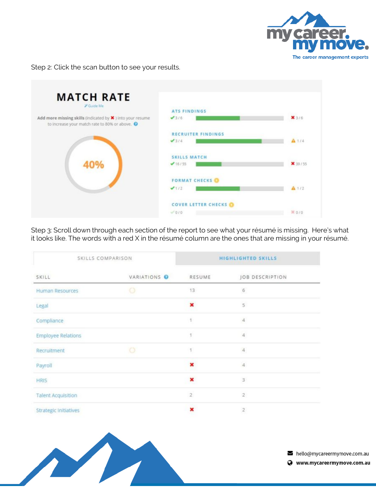

#### Step 2: Click the scan button to see your results.



Step 3: Scroll down through each section of the report to see what your résumé is missing. Here's what it looks like. The words with a red X in the résumé column are the ones that are missing in your résumé.

| SKILLS COMPARISON            |              | <b>HIGHLIGHTED SKILLS</b> |                          |
|------------------------------|--------------|---------------------------|--------------------------|
| SKILL                        | VARIATIONS O | RESUME                    | JOB DESCRIPTION          |
| <b>Human Resources</b>       | $\circ$      | 13                        | $_{\rm 6}$               |
| Legal                        |              | ×                         | $\overline{5}$           |
| Compliance                   |              | $^{+}$                    | $\overline{4}$           |
| <b>Employee Relations</b>    |              |                           | 4                        |
| Recruitment                  | $\circ$      | $\mathbf{1}$              | $\Delta$                 |
| Payroll                      |              | ×                         | $\Delta$                 |
| <b>HRIS</b>                  |              | ×                         | 3                        |
| <b>Talent Acquisition</b>    |              | $\overline{2}$            | $\overline{2}$           |
| <b>Strategic Initiatives</b> |              | ×                         | $\overline{\mathcal{Z}}$ |



hello@mycareermymove.com.au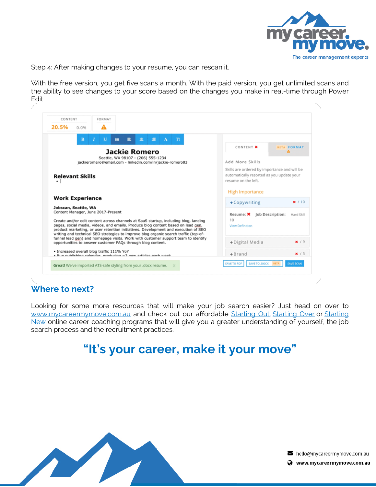

Step 4: After making changes to your resume, you can rescan it.

With the free version, you get five scans a month. With the paid version, you get unlimited scans and the ability to see changes to your score based on the changes you make in real-time through Power Edit

| CONTENT<br>FORMAT<br>20.5%<br>0.0%<br>А                                                                                                                                                                                                                                                                                                               |                                                                                                                  |
|-------------------------------------------------------------------------------------------------------------------------------------------------------------------------------------------------------------------------------------------------------------------------------------------------------------------------------------------------------|------------------------------------------------------------------------------------------------------------------|
| u<br>$\equiv$<br>金<br>環<br>TI<br>B<br>畫<br>А                                                                                                                                                                                                                                                                                                          |                                                                                                                  |
| <b>Jackie Romero</b>                                                                                                                                                                                                                                                                                                                                  | CONTENT X<br><b>SETA FORMAT</b>                                                                                  |
| Seattle, WA 98107 - (206) 555-1234<br>jackieromero@email.com - linkedin.com/in/jackie-romero83                                                                                                                                                                                                                                                        | Add More Skills                                                                                                  |
| <b>Relevant Skills</b>                                                                                                                                                                                                                                                                                                                                | Skills are ordered by importance and will be<br>automatically resorted as you update your<br>resume on the left. |
|                                                                                                                                                                                                                                                                                                                                                       | <b>High Importance</b>                                                                                           |
| <b>Work Experience</b>                                                                                                                                                                                                                                                                                                                                | +Copywriting<br>x/10                                                                                             |
| Jobscan, Seattle, WA<br>Content Manager, June 2017-Present                                                                                                                                                                                                                                                                                            | Job Description:<br>Resume: X<br>Hard Skill                                                                      |
| Create and/or edit content across channels at SaaS startup, including blog, landing<br>pages, social media, videos, and emails. Produce blog content based on lead gen,<br>product marketing, or user retention initiatives. Development and execution of SEO<br>writing and technical SEO strategies to improve blog organic search traffic (top-of- | 10<br>View Definition                                                                                            |
| funnel lead gen) and homepage visits. Work with customer support team to identify<br>opportunities to answer customer FAQs through blog content.                                                                                                                                                                                                      | +Digital Media<br>x/9                                                                                            |
| · Increased overall blog traffic 111% YoY<br>. Pun publiching calondar, producing ~2 now articles each week.                                                                                                                                                                                                                                          | x/3<br>$+$ Brand                                                                                                 |
| Great! We've imported ATS-safe styling from your .docx resume.                                                                                                                                                                                                                                                                                        | SAVE TO .DOCX<br>SAVE SCAN<br>SAVE TO PDF                                                                        |

# **Where to next?**

- 1

Looking for some more resources that will make your job search easier? Just head on over to www.mycareermymove.com.au and check out our affordable Starting Out, Starting Over or Starting New online career coaching programs that will give you a greater understanding of yourself, the job search process and the recruitment practices.

# **"It's your career, make it your move"**



hello@mycareermymove.com.au